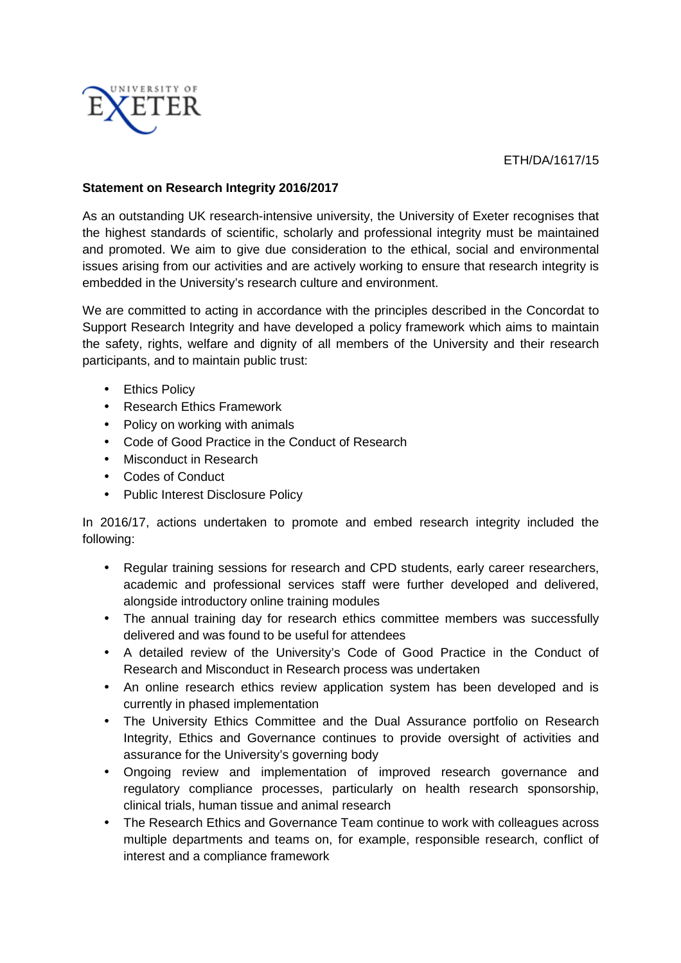

ETH/DA/1617/15

## **Statement on Research Integrity 2016/2017**

As an outstanding UK research-intensive university, the University of Exeter recognises that the highest standards of scientific, scholarly and professional integrity must be maintained and promoted. We aim to give due consideration to the ethical, social and environmental issues arising from our activities and are actively working to ensure that research integrity is embedded in the University's research culture and environment.

We are committed to acting in accordance with the principles described in the Concordat to Support Research Integrity and have developed a policy framework which aims to maintain the safety, rights, welfare and dignity of all members of the University and their research participants, and to maintain public trust:

- Ethics Policy
- Research Ethics Framework
- Policy on working with animals
- Code of Good Practice in the Conduct of Research
- Misconduct in Research
- Codes of Conduct
- Public Interest Disclosure Policy

In 2016/17, actions undertaken to promote and embed research integrity included the following:

- Regular training sessions for research and CPD students, early career researchers, academic and professional services staff were further developed and delivered, alongside introductory online training modules
- The annual training day for research ethics committee members was successfully delivered and was found to be useful for attendees
- A detailed review of the University's Code of Good Practice in the Conduct of Research and Misconduct in Research process was undertaken
- An online research ethics review application system has been developed and is currently in phased implementation
- The University Ethics Committee and the Dual Assurance portfolio on Research Integrity, Ethics and Governance continues to provide oversight of activities and assurance for the University's governing body
- Ongoing review and implementation of improved research governance and regulatory compliance processes, particularly on health research sponsorship, clinical trials, human tissue and animal research
- The Research Ethics and Governance Team continue to work with colleagues across multiple departments and teams on, for example, responsible research, conflict of interest and a compliance framework